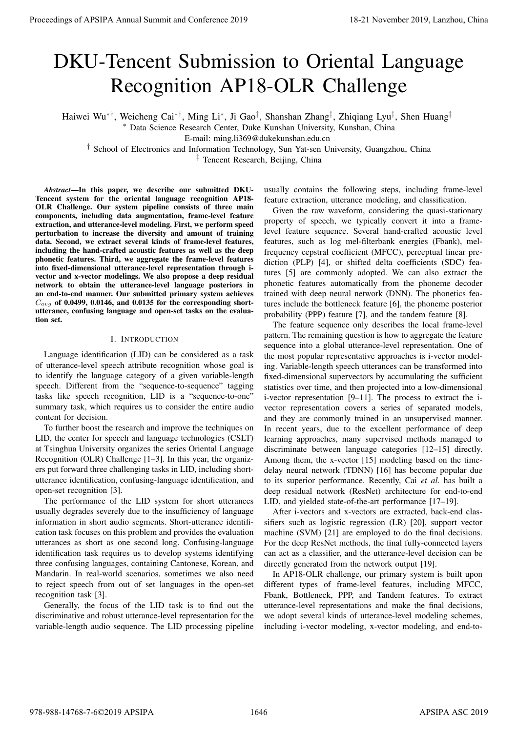# DKU-Tencent Submission to Oriental Language Recognition AP18-OLR Challenge

Haiwei Wu<sup>∗†</sup>, Weicheng Cai<sup>∗†</sup>, Ming Li<sup>∗</sup>, Ji Gao<sup>‡</sup>, Shanshan Zhang<sup>‡</sup>, Zhiqiang Lyu<sup>‡</sup>, Shen Huang<sup>‡</sup>

<sup>∗</sup> Data Science Research Center, Duke Kunshan University, Kunshan, China

E-mail: ming.li369@dukekunshan.edu.cn

† School of Electronics and Information Technology, Sun Yat-sen University, Guangzhou, China

‡ Tencent Research, Beijing, China

*Abstract*—In this paper, we describe our submitted DKU-Tencent system for the oriental language recognition AP18- OLR Challenge. Our system pipeline consists of three main components, including data augmentation, frame-level feature extraction, and utterance-level modeling. First, we perform speed perturbation to increase the diversity and amount of training data. Second, we extract several kinds of frame-level features, including the hand-crafted acoustic features as well as the deep phonetic features. Third, we aggregate the frame-level features into fixed-dimensional utterance-level representation through ivector and x-vector modelings. We also propose a deep residual network to obtain the utterance-level language posteriors in an end-to-end manner. Our submitted primary system achieves  $C_{\alpha\nu\rho}$  of 0.0499, 0.0146, and 0.0135 for the corresponding shortutterance, confusing language and open-set tasks on the evaluation set.

# I. INTRODUCTION

Language identification (LID) can be considered as a task of utterance-level speech attribute recognition whose goal is to identify the language category of a given variable-length speech. Different from the "sequence-to-sequence" tagging tasks like speech recognition, LID is a "sequence-to-one" summary task, which requires us to consider the entire audio content for decision.

To further boost the research and improve the techniques on LID, the center for speech and language technologies (CSLT) at Tsinghua University organizes the series Oriental Language Recognition (OLR) Challenge [1–3]. In this year, the organizers put forward three challenging tasks in LID, including shortutterance identification, confusing-language identification, and open-set recognition [3].

The performance of the LID system for short utterances usually degrades severely due to the insufficiency of language information in short audio segments. Short-utterance identification task focuses on this problem and provides the evaluation utterances as short as one second long. Confusing-language identification task requires us to develop systems identifying three confusing languages, containing Cantonese, Korean, and Mandarin. In real-world scenarios, sometimes we also need to reject speech from out of set languages in the open-set recognition task [3].

Generally, the focus of the LID task is to find out the discriminative and robust utterance-level representation for the variable-length audio sequence. The LID processing pipeline

usually contains the following steps, including frame-level feature extraction, utterance modeling, and classification.

Given the raw waveform, considering the quasi-stationary property of speech, we typically convert it into a framelevel feature sequence. Several hand-crafted acoustic level features, such as log mel-filterbank energies (Fbank), melfrequency cepstral coefficient (MFCC), perceptual linear prediction (PLP) [4], or shifted delta coefficients (SDC) features [5] are commonly adopted. We can also extract the phonetic features automatically from the phoneme decoder trained with deep neural network (DNN). The phonetics features include the bottleneck feature [6], the phoneme posterior probability (PPP) feature [7], and the tandem feature [8].

The feature sequence only describes the local frame-level pattern. The remaining question is how to aggregate the feature sequence into a global utterance-level representation. One of the most popular representative approaches is i-vector modeling. Variable-length speech utterances can be transformed into fixed-dimensional supervectors by accumulating the sufficient statistics over time, and then projected into a low-dimensional i-vector representation [9–11]. The process to extract the ivector representation covers a series of separated models, and they are commonly trained in an unsupervised manner. In recent years, due to the excellent performance of deep learning approaches, many supervised methods managed to discriminate between language categories [12–15] directly. Among them, the x-vector [15] modeling based on the timedelay neural network (TDNN) [16] has become popular due to its superior performance. Recently, Cai *et al.* has built a deep residual network (ResNet) architecture for end-to-end LID, and yielded state-of-the-art performance [17–19]. **Proceedings of APSIPA Annual Summit at Conference 2019**<br> **DKU-Tencent Rubmit SSion to Oriental Language Recognition APIS-OLR Chailenges**<br>  $\frac{1}{2}$  also oriental Summit and Conference 2019 18-2018. This approximation Neu

After i-vectors and x-vectors are extracted, back-end classifiers such as logistic regression (LR) [20], support vector machine (SVM) [21] are employed to do the final decisions. For the deep ResNet methods, the final fully-connected layers can act as a classifier, and the utterance-level decision can be directly generated from the network output [19].

In AP18-OLR challenge, our primary system is built upon different types of frame-level features, including MFCC, Fbank, Bottleneck, PPP, and Tandem features. To extract utterance-level representations and make the final decisions, we adopt several kinds of utterance-level modeling schemes, including i-vector modeling, x-vector modeling, and end-to-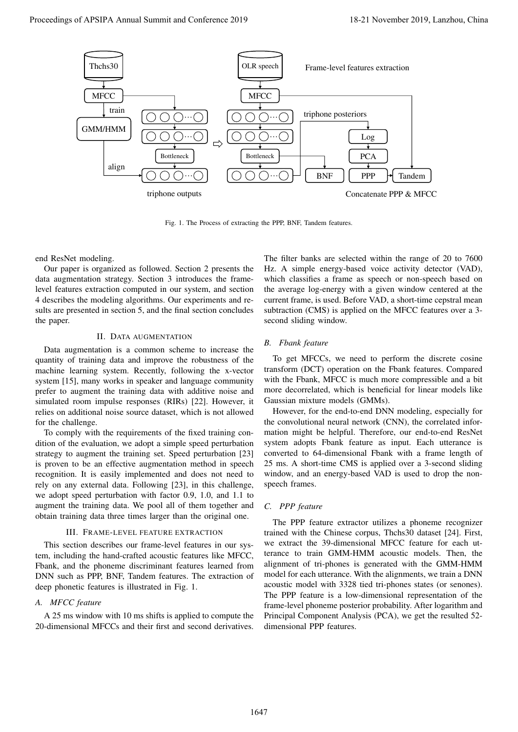

Fig. 1. The Process of extracting the PPP, BNF, Tandem features.

end ResNet modeling.

Our paper is organized as followed. Section 2 presents the data augmentation strategy. Section 3 introduces the framelevel features extraction computed in our system, and section 4 describes the modeling algorithms. Our experiments and results are presented in section 5, and the final section concludes the paper.

## II. DATA AUGMENTATION

Data augmentation is a common scheme to increase the quantity of training data and improve the robustness of the machine learning system. Recently, following the x-vector system [15], many works in speaker and language community prefer to augment the training data with additive noise and simulated room impulse responses (RIRs) [22]. However, it relies on additional noise source dataset, which is not allowed for the challenge.

To comply with the requirements of the fixed training condition of the evaluation, we adopt a simple speed perturbation strategy to augment the training set. Speed perturbation [23] is proven to be an effective augmentation method in speech recognition. It is easily implemented and does not need to rely on any external data. Following [23], in this challenge, we adopt speed perturbation with factor 0.9, 1.0, and 1.1 to augment the training data. We pool all of them together and obtain training data three times larger than the original one.

## III. FRAME-LEVEL FEATURE EXTRACTION

This section describes our frame-level features in our system, including the hand-crafted acoustic features like MFCC, Fbank, and the phoneme discriminant features learned from DNN such as PPP, BNF, Tandem features. The extraction of deep phonetic features is illustrated in Fig. 1.

## *A. MFCC feature*

A 25 ms window with 10 ms shifts is applied to compute the 20-dimensional MFCCs and their first and second derivatives.

The filter banks are selected within the range of 20 to 7600 Hz. A simple energy-based voice activity detector (VAD), which classifies a frame as speech or non-speech based on the average log-energy with a given window centered at the current frame, is used. Before VAD, a short-time cepstral mean subtraction (CMS) is applied on the MFCC features over a 3 second sliding window.

## *B. Fbank feature*

To get MFCCs, we need to perform the discrete cosine transform (DCT) operation on the Fbank features. Compared with the Fbank, MFCC is much more compressible and a bit more decorrelated, which is beneficial for linear models like Gaussian mixture models (GMMs).

However, for the end-to-end DNN modeling, especially for the convolutional neural network (CNN), the correlated information might be helpful. Therefore, our end-to-end ResNet system adopts Fbank feature as input. Each utterance is converted to 64-dimensional Fbank with a frame length of 25 ms. A short-time CMS is applied over a 3-second sliding window, and an energy-based VAD is used to drop the nonspeech frames.

## *C. PPP feature*

The PPP feature extractor utilizes a phoneme recognizer trained with the Chinese corpus, Thchs30 dataset [24]. First, we extract the 39-dimensional MFCC feature for each utterance to train GMM-HMM acoustic models. Then, the alignment of tri-phones is generated with the GMM-HMM model for each utterance. With the alignments, we train a DNN acoustic model with 3328 tied tri-phones states (or senones). The PPP feature is a low-dimensional representation of the frame-level phoneme posterior probability. After logarithm and Principal Component Analysis (PCA), we get the resulted 52 dimensional PPP features.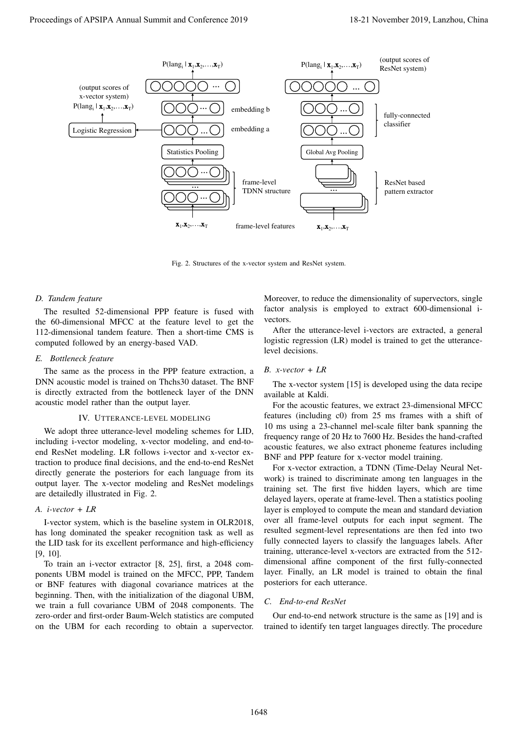

Fig. 2. Structures of the x-vector system and ResNet system.

#### *D. Tandem feature*

The resulted 52-dimensional PPP feature is fused with the 60-dimensional MFCC at the feature level to get the 112-dimensional tandem feature. Then a short-time CMS is computed followed by an energy-based VAD.

## *E. Bottleneck feature*

The same as the process in the PPP feature extraction, a DNN acoustic model is trained on Thchs30 dataset. The BNF is directly extracted from the bottleneck layer of the DNN acoustic model rather than the output layer.

#### IV. UTTERANCE-LEVEL MODELING

We adopt three utterance-level modeling schemes for LID, including i-vector modeling, x-vector modeling, and end-toend ResNet modeling. LR follows i-vector and x-vector extraction to produce final decisions, and the end-to-end ResNet directly generate the posteriors for each language from its output layer. The x-vector modeling and ResNet modelings are detailedly illustrated in Fig. 2.

#### *A. i-vector + LR*

I-vector system, which is the baseline system in OLR2018, has long dominated the speaker recognition task as well as the LID task for its excellent performance and high-efficiency [9, 10].

To train an i-vector extractor [8, 25], first, a 2048 components UBM model is trained on the MFCC, PPP, Tandem or BNF features with diagonal covariance matrices at the beginning. Then, with the initialization of the diagonal UBM, we train a full covariance UBM of 2048 components. The zero-order and first-order Baum-Welch statistics are computed on the UBM for each recording to obtain a supervector.

Moreover, to reduce the dimensionality of supervectors, single factor analysis is employed to extract 600-dimensional ivectors.

After the utterance-level i-vectors are extracted, a general logistic regression (LR) model is trained to get the utterancelevel decisions.

#### *B. x-vector + LR*

The x-vector system [15] is developed using the data recipe available at Kaldi.

For the acoustic features, we extract 23-dimensional MFCC features (including c0) from 25 ms frames with a shift of 10 ms using a 23-channel mel-scale filter bank spanning the frequency range of 20 Hz to 7600 Hz. Besides the hand-crafted acoustic features, we also extract phoneme features including BNF and PPP feature for x-vector model training.

For x-vector extraction, a TDNN (Time-Delay Neural Network) is trained to discriminate among ten languages in the training set. The first five hidden layers, which are time delayed layers, operate at frame-level. Then a statistics pooling layer is employed to compute the mean and standard deviation over all frame-level outputs for each input segment. The resulted segment-level representations are then fed into two fully connected layers to classify the languages labels. After training, utterance-level x-vectors are extracted from the 512 dimensional affine component of the first fully-connected layer. Finally, an LR model is trained to obtain the final posteriors for each utterance.

#### *C. End-to-end ResNet*

Our end-to-end network structure is the same as [19] and is trained to identify ten target languages directly. The procedure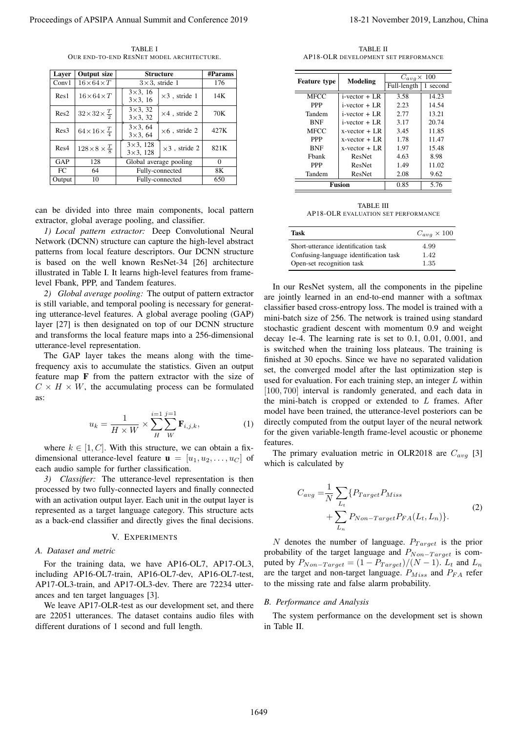TABLE I OUR END-TO-END RESNET MODEL ARCHITECTURE.

| Layer  | <b>Output size</b>            | Structure                                                        | #Params  |
|--------|-------------------------------|------------------------------------------------------------------|----------|
| Conv1  | $16\times 64\times T$         | $3 \times 3$ , stride 1                                          | 176      |
| Res1   | $16\times 64\times T$         | $3\times3, 16$<br>$\times 3$ , stride $1$<br>$3\times 3, 16$     | 14K      |
| Res2   | $32\times32\times\frac{T}{2}$ | $3\times3, 32$<br>$\times 4$ , stride 2<br>$3\times3, 32$        | 70K      |
| Res3   | $64\times16\times\frac{T}{4}$ | $3\times3, 64$<br>$\times 6$ , stride 2<br>$3\times3, 64$        | 427K     |
| Res4   | $128\times8\times\frac{T}{8}$ | $3 \times 3$ , 128<br>$\times$ 3, stride 2<br>$3 \times 3$ , 128 | 821K     |
| GAP    | 128                           | Global average pooling                                           | $\Omega$ |
| FC.    | 64                            | Fully-connected                                                  | 8K       |
| Output | 10                            | Fully-connected                                                  | 650      |

can be divided into three main components, local pattern extractor, global average pooling, and classifier.

*1) Local pattern extractor:* Deep Convolutional Neural Network (DCNN) structure can capture the high-level abstract patterns from local feature descriptors. Our DCNN structure is based on the well known ResNet-34 [26] architecture illustrated in Table I. It learns high-level features from framelevel Fbank, PPP, and Tandem features.

*2) Global average pooling:* The output of pattern extractor is still variable, and temporal pooling is necessary for generating utterance-level features. A global average pooling (GAP) layer [27] is then designated on top of our DCNN structure and transforms the local feature maps into a 256-dimensional utterance-level representation.

The GAP layer takes the means along with the timefrequency axis to accumulate the statistics. Given an output feature map F from the pattern extractor with the size of  $C \times H \times W$ , the accumulating process can be formulated as:

$$
u_{k} = \frac{1}{H \times W} \times \sum_{H}^{i=1} \sum_{W}^{j=1} \mathbf{F}_{i,j,k},
$$
 (1)

where  $k \in [1, C]$ . With this structure, we can obtain a fixdimensional utterance-level feature  $\mathbf{u} = [u_1, u_2, \dots, u_C]$  of each audio sample for further classification.

*3) Classifier:* The utterance-level representation is then processed by two fully-connected layers and finally connected with an activation output layer. Each unit in the output layer is represented as a target language category. This structure acts as a back-end classifier and directly gives the final decisions.

#### V. EXPERIMENTS

## *A. Dataset and metric*

For the training data, we have AP16-OL7, AP17-OL3, including AP16-OL7-train, AP16-OL7-dev, AP16-OL7-test, AP17-OL3-train, and AP17-OL3-dev. There are 72234 utterances and ten target languages [3].

We leave AP17-OLR-test as our development set, and there are 22051 utterances. The dataset contains audio files with different durations of 1 second and full length.

TABLE II AP18-OLR DEVELOPMENT SET PERFORMANCE

|                     | Modeling         | $C_{avg} \times 100$ |          |
|---------------------|------------------|----------------------|----------|
| <b>Feature type</b> |                  | Full-length          | 1 second |
| <b>MFCC</b>         | $i$ -vector + LR | 3.58                 | 14.23    |
| PPP                 | $i$ -vector + LR | 2.23                 | 14.54    |
| Tandem              | $i$ -vector + LR | 2.77                 | 13.21    |
| <b>BNF</b>          | $i$ -vector + LR | 3.17                 | 20.74    |
| <b>MFCC</b>         | $x$ -vector + LR | 3.45                 | 11.85    |
| <b>PPP</b>          | $x$ -vector + LR | 1.78                 | 11.47    |
| <b>BNF</b>          | $x$ -vector + LR | 1.97                 | 15.48    |
| Fbank               | ResNet           | 4.63                 | 8.98     |
| <b>PPP</b>          | ResNet           | 1.49                 | 11.02    |
| Tandem              | ResNet           | 2.08                 | 9.62     |
|                     | Fusion           | 0.85                 | 5.76     |

TABLE III AP18-OLR EVALUATION SET PERFORMANCE

| Task                                   | $C_{avg} \times 100$ |
|----------------------------------------|----------------------|
| Short-utterance identification task    | 4.99                 |
| Confusing-language identification task | 1.42                 |
| Open-set recognition task              | 1.35                 |

In our ResNet system, all the components in the pipeline are jointly learned in an end-to-end manner with a softmax classifier based cross-entropy loss. The model is trained with a mini-batch size of 256. The network is trained using standard stochastic gradient descent with momentum 0.9 and weight decay 1e-4. The learning rate is set to 0.1, 0.01, 0.001, and is switched when the training loss plateaus. The training is finished at 30 epochs. Since we have no separated validation set, the converged model after the last optimization step is used for evaluation. For each training step, an integer  $L$  within [100, 700] interval is randomly generated, and each data in the mini-batch is cropped or extended to  $L$  frames. After model have been trained, the utterance-level posteriors can be directly computed from the output layer of the neural network for the given variable-length frame-level acoustic or phoneme features. Proceeding of APSIPA Annual Summit and Conference 2019<br>
For the conference 2019 11-2 November 2019<br>
For the conference 2019 11-2 November 2019<br>
For the conference 2019 11-2 normal conference 2019 11-2 November 2019<br>
For t

The primary evaluation metric in OLR2018 are  $C_{avg}$  [3] which is calculated by

$$
C_{avg} = \frac{1}{N} \sum_{L_t} \{P_{Target} P_{Miss} + \sum_{L_n} P_{Non-Target} P_{FA}(L_t, L_n)\}.
$$
\n
$$
(2)
$$

N denotes the number of language.  $P_{Target}$  is the prior probability of the target language and  $P_{Non-Target}$  is computed by  $P_{Non-Target} = (1 - P_{Target})/(N - 1)$ .  $L_t$  and  $L_n$ are the target and non-target language.  $P_{Miss}$  and  $P_{FA}$  refer to the missing rate and false alarm probability.

#### *B. Performance and Analysis*

The system performance on the development set is shown in Table II.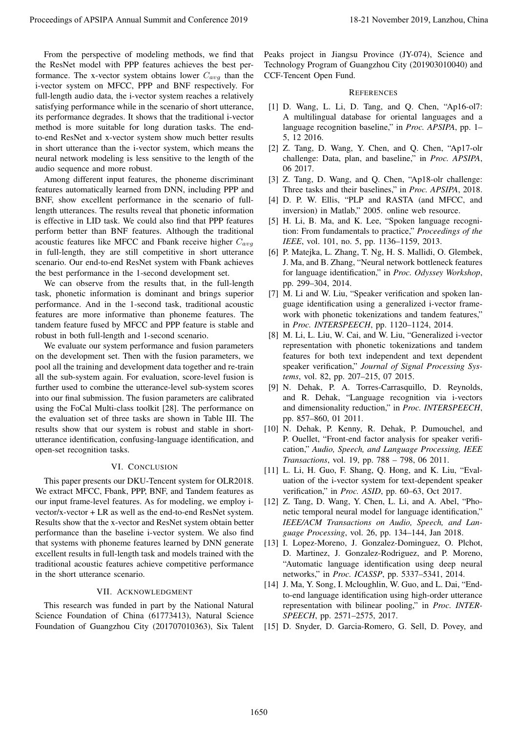From the perspective of modeling methods, we find that the ResNet model with PPP features achieves the best performance. The x-vector system obtains lower  $C_{avg}$  than the i-vector system on MFCC, PPP and BNF respectively. For full-length audio data, the i-vector system reaches a relatively satisfying performance while in the scenario of short utterance, its performance degrades. It shows that the traditional i-vector method is more suitable for long duration tasks. The endto-end ResNet and x-vector system show much better results in short utterance than the i-vector system, which means the neural network modeling is less sensitive to the length of the audio sequence and more robust. Proceedings of APSIPA Annual Summit and Conference 2019<br>
Fig. 1) 13-1) More and 2019 21-2) More and 2019 21-2) More and 2019 21-2<br>
Has Becker and Conference 2019 21-2 November 2019 21-2 November 2019, November 2019<br>
In th

Among different input features, the phoneme discriminant features automatically learned from DNN, including PPP and BNF, show excellent performance in the scenario of fulllength utterances. The results reveal that phonetic information is effective in LID task. We could also find that PPP features perform better than BNF features. Although the traditional acoustic features like MFCC and Fbank receive higher  $C_{avg}$ in full-length, they are still competitive in short utterance scenario. Our end-to-end ResNet system with Fbank achieves the best performance in the 1-second development set.

We can observe from the results that, in the full-length task, phonetic information is dominant and brings superior performance. And in the 1-second task, traditional acoustic features are more informative than phoneme features. The tandem feature fused by MFCC and PPP feature is stable and robust in both full-length and 1-second scenario.

We evaluate our system performance and fusion parameters on the development set. Then with the fusion parameters, we pool all the training and development data together and re-train all the sub-system again. For evaluation, score-level fusion is further used to combine the utterance-level sub-system scores into our final submission. The fusion parameters are calibrated using the FoCal Multi-class toolkit [28]. The performance on the evaluation set of three tasks are shown in Table III. The results show that our system is robust and stable in shortutterance identification, confusing-language identification, and open-set recognition tasks.

#### VI. CONCLUSION

This paper presents our DKU-Tencent system for OLR2018. We extract MFCC, Fbank, PPP, BNF, and Tandem features as our input frame-level features. As for modeling, we employ ivector/x-vector + LR as well as the end-to-end ResNet system. Results show that the x-vector and ResNet system obtain better performance than the baseline i-vector system. We also find that systems with phoneme features learned by DNN generate excellent results in full-length task and models trained with the traditional acoustic features achieve competitive performance in the short utterance scenario.

#### VII. ACKNOWLEDGMENT

This research was funded in part by the National Natural Science Foundation of China (61773413), Natural Science Foundation of Guangzhou City (201707010363), Six Talent Peaks project in Jiangsu Province (JY-074), Science and Technology Program of Guangzhou City (201903010040) and CCF-Tencent Open Fund.

## **REFERENCES**

- [1] D. Wang, L. Li, D. Tang, and Q. Chen, "Ap16-ol7: A multilingual database for oriental languages and a language recognition baseline," in *Proc. APSIPA*, pp. 1– 5, 12 2016.
- [2] Z. Tang, D. Wang, Y. Chen, and Q. Chen, "Ap17-olr challenge: Data, plan, and baseline," in *Proc. APSIPA*, 06 2017.
- [3] Z. Tang, D. Wang, and Q. Chen, "Ap18-olr challenge: Three tasks and their baselines," in *Proc. APSIPA*, 2018.
- [4] D. P. W. Ellis, "PLP and RASTA (and MFCC, and inversion) in Matlab," 2005. online web resource.
- [5] H. Li, B. Ma, and K. Lee, "Spoken language recognition: From fundamentals to practice," *Proceedings of the IEEE*, vol. 101, no. 5, pp. 1136–1159, 2013.
- [6] P. Matejka, L. Zhang, T. Ng, H. S. Mallidi, O. Glembek, J. Ma, and B. Zhang, "Neural network bottleneck features for language identification," in *Proc. Odyssey Workshop*, pp. 299–304, 2014.
- [7] M. Li and W. Liu, "Speaker verification and spoken language identification using a generalized i-vector framework with phonetic tokenizations and tandem features," in *Proc. INTERSPEECH*, pp. 1120–1124, 2014.
- [8] M. Li, L. Liu, W. Cai, and W. Liu, "Generalized i-vector representation with phonetic tokenizations and tandem features for both text independent and text dependent speaker verification," *Journal of Signal Processing Systems*, vol. 82, pp. 207–215, 07 2015.
- [9] N. Dehak, P. A. Torres-Carrasquillo, D. Reynolds, and R. Dehak, "Language recognition via i-vectors and dimensionality reduction," in *Proc. INTERSPEECH*, pp. 857–860, 01 2011.
- [10] N. Dehak, P. Kenny, R. Dehak, P. Dumouchel, and P. Ouellet, "Front-end factor analysis for speaker verification," *Audio, Speech, and Language Processing, IEEE Transactions*, vol. 19, pp. 788 – 798, 06 2011.
- [11] L. Li, H. Guo, F. Shang, Q. Hong, and K. Liu, "Evaluation of the i-vector system for text-dependent speaker verification," in *Proc. ASID*, pp. 60–63, Oct 2017.
- [12] Z. Tang, D. Wang, Y. Chen, L. Li, and A. Abel, "Phonetic temporal neural model for language identification," *IEEE/ACM Transactions on Audio, Speech, and Language Processing*, vol. 26, pp. 134–144, Jan 2018.
- [13] I. Lopez-Moreno, J. Gonzalez-Dominguez, O. Plchot, D. Martinez, J. Gonzalez-Rodriguez, and P. Moreno, "Automatic language identification using deep neural networks," in *Proc. ICASSP*, pp. 5337–5341, 2014.
- [14] J. Ma, Y. Song, I. Mcloughlin, W. Guo, and L. Dai, "Endto-end language identification using high-order utterance representation with bilinear pooling," in *Proc. INTER-SPEECH*, pp. 2571–2575, 2017.
- [15] D. Snyder, D. Garcia-Romero, G. Sell, D. Povey, and